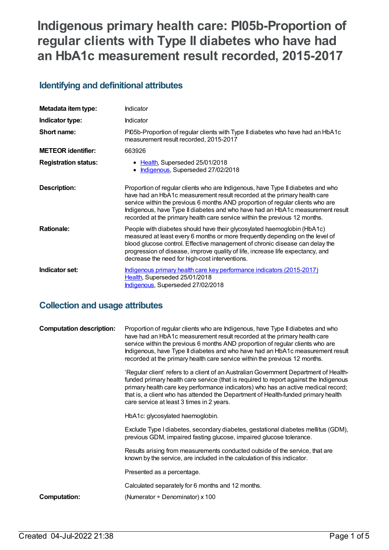# **Indigenous primary health care: PI05b-Proportion of regular clients with Type II diabetes who have had an HbA1c measurement result recorded, 2015-2017**

# **Identifying and definitional attributes**

| Metadata item type:         | Indicator                                                                                                                                                                                                                                                                                                                                                                                                     |
|-----------------------------|---------------------------------------------------------------------------------------------------------------------------------------------------------------------------------------------------------------------------------------------------------------------------------------------------------------------------------------------------------------------------------------------------------------|
| Indicator type:             | <b>Indicator</b>                                                                                                                                                                                                                                                                                                                                                                                              |
| Short name:                 | PI05b-Proportion of regular clients with Type II diabetes who have had an HbA1c<br>measurement result recorded, 2015-2017                                                                                                                                                                                                                                                                                     |
| <b>METEOR identifier:</b>   | 663926                                                                                                                                                                                                                                                                                                                                                                                                        |
| <b>Registration status:</b> | • Health, Superseded 25/01/2018<br>Indigenous, Superseded 27/02/2018                                                                                                                                                                                                                                                                                                                                          |
| <b>Description:</b>         | Proportion of regular clients who are Indigenous, have Type II diabetes and who<br>have had an HbA1c measurement result recorded at the primary health care<br>service within the previous 6 months AND proportion of regular clients who are<br>Indigenous, have Type II diabetes and who have had an HbA1c measurement result<br>recorded at the primary health care service within the previous 12 months. |
| <b>Rationale:</b>           | People with diabetes should have their glycosylated haemoglobin (HbA1c)<br>measured at least every 6 months or more frequently depending on the level of<br>blood glucose control. Effective management of chronic disease can delay the<br>progression of disease, improve quality of life, increase life expectancy, and<br>decrease the need for high-cost interventions.                                  |
| Indicator set:              | Indigenous primary health care key performance indicators (2015-2017)<br>Health, Superseded 25/01/2018<br>Indigenous, Superseded 27/02/2018                                                                                                                                                                                                                                                                   |

# **Collection and usage attributes**

| <b>Computation description:</b> | Proportion of regular clients who are Indigenous, have Type II diabetes and who<br>have had an HbA1c measurement result recorded at the primary health care<br>service within the previous 6 months AND proportion of regular clients who are<br>Indigenous, have Type II diabetes and who have had an HbA1c measurement result<br>recorded at the primary health care service within the previous 12 months. |
|---------------------------------|---------------------------------------------------------------------------------------------------------------------------------------------------------------------------------------------------------------------------------------------------------------------------------------------------------------------------------------------------------------------------------------------------------------|
|                                 | 'Regular client' refers to a client of an Australian Government Department of Health-<br>funded primary health care service (that is required to report against the Indigenous<br>primary health care key performance indicators) who has an active medical record;<br>that is, a client who has attended the Department of Health-funded primary health<br>care service at least 3 times in 2 years.         |
|                                 | HbA1c: glycosylated haemoglobin.                                                                                                                                                                                                                                                                                                                                                                              |
|                                 | Exclude Type I diabetes, secondary diabetes, gestational diabetes mellitus (GDM),<br>previous GDM, impaired fasting glucose, impaired glucose tolerance.                                                                                                                                                                                                                                                      |
|                                 | Results arising from measurements conducted outside of the service, that are<br>known by the service, are included in the calculation of this indicator.                                                                                                                                                                                                                                                      |
|                                 | Presented as a percentage.                                                                                                                                                                                                                                                                                                                                                                                    |
|                                 | Calculated separately for 6 months and 12 months.                                                                                                                                                                                                                                                                                                                                                             |
| Computation:                    | (Numerator $\div$ Denominator) x 100                                                                                                                                                                                                                                                                                                                                                                          |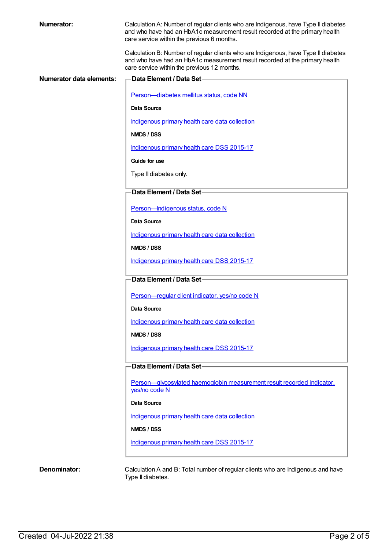| <b>Numerator:</b>               | Calculation A: Number of regular clients who are Indigenous, have Type II diabetes<br>and who have had an HbA1c measurement result recorded at the primary health<br>care service within the previous 6 months.  |
|---------------------------------|------------------------------------------------------------------------------------------------------------------------------------------------------------------------------------------------------------------|
|                                 | Calculation B: Number of regular clients who are Indigenous, have Type II diabetes<br>and who have had an HbA1c measurement result recorded at the primary health<br>care service within the previous 12 months. |
| <b>Numerator data elements:</b> | Data Element / Data Set-                                                                                                                                                                                         |
|                                 | Person-diabetes mellitus status, code NN                                                                                                                                                                         |
|                                 | Data Source                                                                                                                                                                                                      |
|                                 | Indigenous primary health care data collection                                                                                                                                                                   |
|                                 | <b>NMDS / DSS</b>                                                                                                                                                                                                |
|                                 | Indigenous primary health care DSS 2015-17                                                                                                                                                                       |
|                                 | Guide for use                                                                                                                                                                                                    |
|                                 | Type II diabetes only.                                                                                                                                                                                           |
|                                 | Data Element / Data Set-                                                                                                                                                                                         |
|                                 | Person-Indigenous status, code N                                                                                                                                                                                 |
|                                 | Data Source                                                                                                                                                                                                      |
|                                 | Indigenous primary health care data collection                                                                                                                                                                   |
|                                 | NMDS / DSS                                                                                                                                                                                                       |
|                                 | Indigenous primary health care DSS 2015-17                                                                                                                                                                       |
|                                 | Data Element / Data Set-                                                                                                                                                                                         |
|                                 | Person-regular client indicator, yes/no code N                                                                                                                                                                   |
|                                 | Data Source                                                                                                                                                                                                      |
|                                 | Indigenous primary health care data collection                                                                                                                                                                   |
|                                 | NMDS / DSS                                                                                                                                                                                                       |
|                                 | Indigenous primary health care DSS 2015-17                                                                                                                                                                       |
|                                 | Data Element / Data Set-                                                                                                                                                                                         |
|                                 | Person-glycosylated haemoglobin measurement result recorded indicator,<br>yes/no code N                                                                                                                          |
|                                 | Data Source                                                                                                                                                                                                      |
|                                 | Indigenous primary health care data collection                                                                                                                                                                   |
|                                 | NMDS / DSS                                                                                                                                                                                                       |
|                                 | Indigenous primary health care DSS 2015-17                                                                                                                                                                       |
| Denominator:                    | Calculation A and B: Total number of regular clients who are Indigenous and have                                                                                                                                 |
|                                 | Type II diabetes.                                                                                                                                                                                                |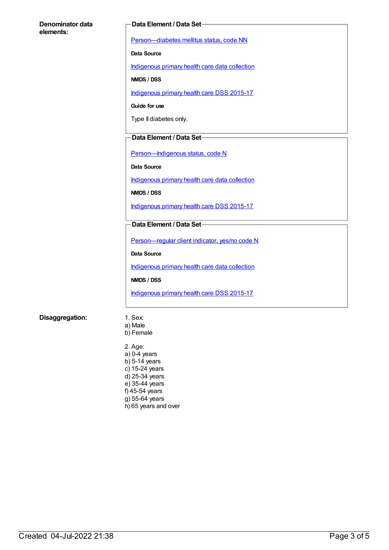#### **Denominator data elements:**

#### **Data Element / Data Set**

[Person—diabetes](https://meteor.aihw.gov.au/content/270194) mellitus status, code NN

**Data Source**

[Indigenous](https://meteor.aihw.gov.au/content/430643) primary health care data collection

**NMDS / DSS**

[Indigenous](https://meteor.aihw.gov.au/content/585036) primary health care DSS 2015-17

**Guide for use**

Type II diabetes only.

#### **Data Element / Data Set**

Person-Indigenous status, code N

**Data Source**

[Indigenous](https://meteor.aihw.gov.au/content/430643) primary health care data collection

**NMDS / DSS**

[Indigenous](https://meteor.aihw.gov.au/content/585036) primary health care DSS 2015-17

#### **Data Element / Data Set**

[Person—regular](https://meteor.aihw.gov.au/content/436639) client indicator, yes/no code N

**Data Source**

[Indigenous](https://meteor.aihw.gov.au/content/430643) primary health care data collection

**NMDS / DSS**

[Indigenous](https://meteor.aihw.gov.au/content/585036) primary health care DSS 2015-17

#### **Disaggregation:** 1. Sex:

- a) Male
- b) Female

2. Age: a) 0-4 years b) 5-14 years c) 15-24 years d) 25-34 years e) 35-44 years f) 45-54 years g) 55-64 years h) 65 years and over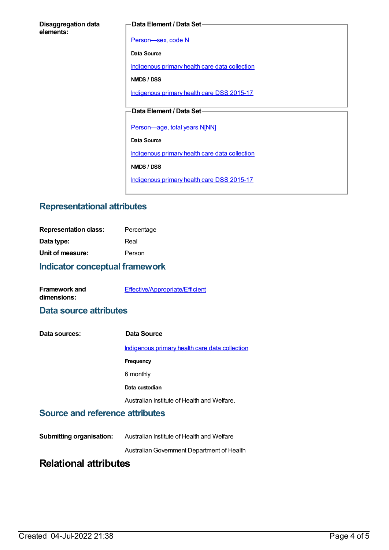#### **Data Element / Data Set**

[Person—sex,](https://meteor.aihw.gov.au/content/287316) code N

**Data Source**

[Indigenous](https://meteor.aihw.gov.au/content/430643) primary health care data collection

**NMDS / DSS**

[Indigenous](https://meteor.aihw.gov.au/content/585036) primary health care DSS 2015-17

### **Data Element / Data Set**

[Person—age,](https://meteor.aihw.gov.au/content/303794) total years N[NN]

**Data Source**

[Indigenous](https://meteor.aihw.gov.au/content/430643) primary health care data collection

**NMDS / DSS**

[Indigenous](https://meteor.aihw.gov.au/content/585036) primary health care DSS 2015-17

# **Representational attributes**

| <b>Representation class:</b> | Percentage |
|------------------------------|------------|
| Data type:                   | Real       |
| Unit of measure:             | Person     |

### **Indicator conceptual framework**

| <b>Framework and</b> | Effective/Appropriate/Efficient |
|----------------------|---------------------------------|
| dimensions:          |                                 |

### **Data source attributes**

| Data sources: | Data Source                                    |
|---------------|------------------------------------------------|
|               | Indigenous primary health care data collection |
|               | Frequency                                      |
|               | 6 monthly                                      |
|               | Data custodian                                 |
|               | Australian Institute of Health and Welfare.    |

### **Source and reference attributes**

**Submitting organisation:** Australian Institute of Health and Welfare AustralianGovernment Department of Health

# **Relational attributes**